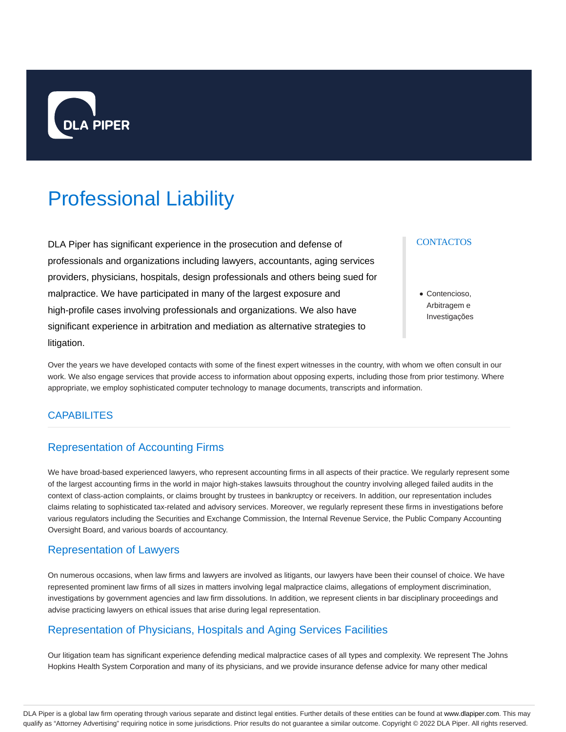

# Professional Liability

DLA Piper has significant experience in the prosecution and defense of professionals and organizations including lawyers, accountants, aging services providers, physicians, hospitals, design professionals and others being sued for malpractice. We have participated in many of the largest exposure and high-profile cases involving professionals and organizations. We also have significant experience in arbitration and mediation as alternative strategies to litigation.

#### **CONTACTOS**

Contencioso, Arbitragem e Investigações

Over the years we have developed contacts with some of the finest expert witnesses in the country, with whom we often consult in our work. We also engage services that provide access to information about opposing experts, including those from prior testimony. Where appropriate, we employ sophisticated computer technology to manage documents, transcripts and information.

#### **CAPABILITES**

## Representation of Accounting Firms

We have broad-based experienced lawyers, who represent accounting firms in all aspects of their practice. We regularly represent some of the largest accounting firms in the world in major high-stakes lawsuits throughout the country involving alleged failed audits in the context of class-action complaints, or claims brought by trustees in bankruptcy or receivers. In addition, our representation includes claims relating to sophisticated tax-related and advisory services. Moreover, we regularly represent these firms in investigations before various regulators including the Securities and Exchange Commission, the Internal Revenue Service, the Public Company Accounting Oversight Board, and various boards of accountancy.

#### Representation of Lawyers

On numerous occasions, when law firms and lawyers are involved as litigants, our lawyers have been their counsel of choice. We have represented prominent law firms of all sizes in matters involving legal malpractice claims, allegations of employment discrimination, investigations by government agencies and law firm dissolutions. In addition, we represent clients in bar disciplinary proceedings and advise practicing lawyers on ethical issues that arise during legal representation.

## Representation of Physicians, Hospitals and Aging Services Facilities

Our litigation team has significant experience defending medical malpractice cases of all types and complexity. We represent The Johns Hopkins Health System Corporation and many of its physicians, and we provide insurance defense advice for many other medical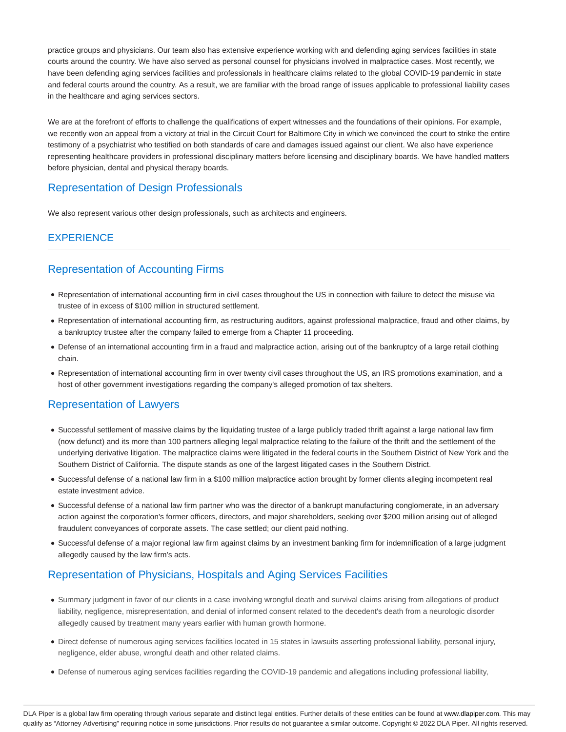practice groups and physicians. Our team also has extensive experience working with and defending aging services facilities in state courts around the country. We have also served as personal counsel for physicians involved in malpractice cases. Most recently, we have been defending aging services facilities and professionals in healthcare claims related to the global COVID-19 pandemic in state and federal courts around the country. As a result, we are familiar with the broad range of issues applicable to professional liability cases in the healthcare and aging services sectors.

We are at the forefront of efforts to challenge the qualifications of expert witnesses and the foundations of their opinions. For example, we recently won an appeal from a victory at trial in the Circuit Court for Baltimore City in which we convinced the court to strike the entire testimony of a psychiatrist who testified on both standards of care and damages issued against our client. We also have experience representing healthcare providers in professional disciplinary matters before licensing and disciplinary boards. We have handled matters before physician, dental and physical therapy boards.

# Representation of Design Professionals

We also represent various other design professionals, such as architects and engineers.

# **EXPERIENCE**

# Representation of Accounting Firms

- Representation of international accounting firm in civil cases throughout the US in connection with failure to detect the misuse via trustee of in excess of \$100 million in structured settlement.
- Representation of international accounting firm, as restructuring auditors, against professional malpractice, fraud and other claims, by a bankruptcy trustee after the company failed to emerge from a Chapter 11 proceeding.
- Defense of an international accounting firm in a fraud and malpractice action, arising out of the bankruptcy of a large retail clothing chain.
- Representation of international accounting firm in over twenty civil cases throughout the US, an IRS promotions examination, and a host of other government investigations regarding the company's alleged promotion of tax shelters.

# Representation of Lawyers

- Successful settlement of massive claims by the liquidating trustee of a large publicly traded thrift against a large national law firm (now defunct) and its more than 100 partners alleging legal malpractice relating to the failure of the thrift and the settlement of the underlying derivative litigation. The malpractice claims were litigated in the federal courts in the Southern District of New York and the Southern District of California. The dispute stands as one of the largest litigated cases in the Southern District.
- Successful defense of a national law firm in a \$100 million malpractice action brought by former clients alleging incompetent real estate investment advice.
- Successful defense of a national law firm partner who was the director of a bankrupt manufacturing conglomerate, in an adversary action against the corporation's former officers, directors, and major shareholders, seeking over \$200 million arising out of alleged fraudulent conveyances of corporate assets. The case settled; our client paid nothing.
- Successful defense of a major regional law firm against claims by an investment banking firm for indemnification of a large judgment allegedly caused by the law firm's acts.

# Representation of Physicians, Hospitals and Aging Services Facilities

- Summary judgment in favor of our clients in a case involving wrongful death and survival claims arising from allegations of product liability, negligence, misrepresentation, and denial of informed consent related to the decedent's death from a neurologic disorder allegedly caused by treatment many years earlier with human growth hormone.
- Direct defense of numerous aging services facilities located in 15 states in lawsuits asserting professional liability, personal injury, negligence, elder abuse, wrongful death and other related claims.
- Defense of numerous aging services facilities regarding the COVID-19 pandemic and allegations including professional liability,